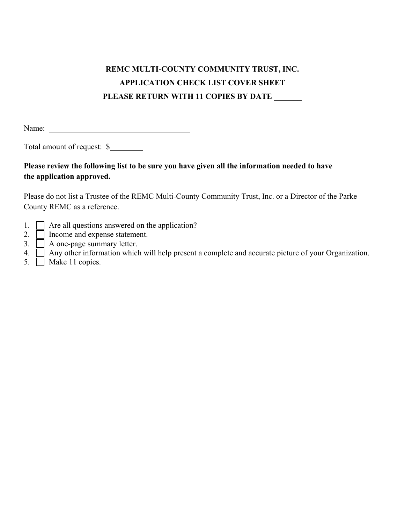# **REMC MULTI-COUNTY COMMUNITY TRUST, INC. APPLICATION CHECK LIST COVER SHEET PLEASE RETURN WITH 11 COPIES BY DATE \_\_\_\_\_\_\_**

Name:

Total amount of request: \$

## **Please review the following list to be sure you have given all the information needed to have the application approved.**

Please do not list a Trustee of the REMC Multi-County Community Trust, Inc. or a Director of the Parke County REMC as a reference.

- 1.  $\Box$  Are all questions answered on the application?
- 2. **I** Income and expense statement.
- $3. \Box$  A one-page summary letter.
- 4. Any other information which will help present a complete and accurate picture of your Organization.
- 5. Make 11 copies.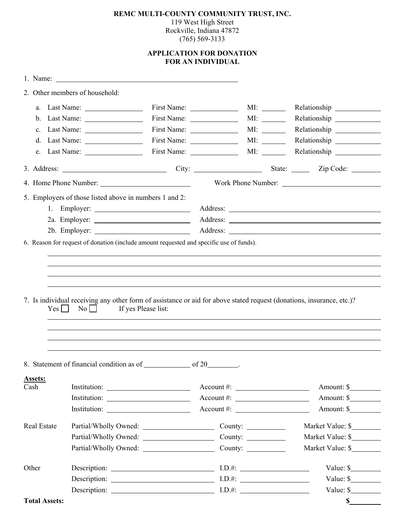#### **REMC MULTI-COUNTY COMMUNITY TRUST, INC.**  119 West High Street Rockville, Indiana 47872 (765) 569-3133

### **APPLICATION FOR DONATION FOR AN INDIVIDUAL**

|                      | 2. Other members of household:                                                                                                                                   |  |                     |  |                                                                                  |
|----------------------|------------------------------------------------------------------------------------------------------------------------------------------------------------------|--|---------------------|--|----------------------------------------------------------------------------------|
|                      |                                                                                                                                                                  |  |                     |  |                                                                                  |
|                      | $b.$ Last Name: $\_\_\_\_\_\_\_\_\_\_\_\_\_\_\_\_\_$                                                                                                             |  |                     |  |                                                                                  |
|                      | c. Last Name: $\frac{1}{\sqrt{1-\frac{1}{2}} \cdot \frac{1}{2}}$                                                                                                 |  |                     |  |                                                                                  |
|                      | d. Last Name: $\frac{1}{\sqrt{1-\frac{1}{2}}\sqrt{1-\frac{1}{2}}\left(\frac{1}{2}-\frac{1}{2}\right)}$                                                           |  |                     |  |                                                                                  |
|                      | e. Last Name: $\frac{1}{\sqrt{1-\frac{1}{2}} \cdot \frac{1}{\sqrt{1-\frac{1}{2}}}}$                                                                              |  |                     |  | MI: ________ Relationship ____________                                           |
|                      |                                                                                                                                                                  |  |                     |  |                                                                                  |
|                      |                                                                                                                                                                  |  | Work Phone Number:  |  |                                                                                  |
|                      | 5. Employers of those listed above in numbers 1 and 2:                                                                                                           |  |                     |  |                                                                                  |
|                      |                                                                                                                                                                  |  |                     |  |                                                                                  |
|                      |                                                                                                                                                                  |  |                     |  |                                                                                  |
|                      |                                                                                                                                                                  |  |                     |  |                                                                                  |
| Yes                  | 7. Is individual receiving any other form of assistance or aid for above stated request (donations, insurance, etc.)?<br>If yes Please list:<br>$\overline{N_0}$ |  |                     |  | ,我们也不会有什么。""我们的人,我们也不会有什么?""我们的人,我们也不会有什么?""我们的人,我们也不会有什么?""我们的人,我们也不会有什么?""我们的人 |
|                      |                                                                                                                                                                  |  |                     |  |                                                                                  |
| Assets:<br>Cash      |                                                                                                                                                                  |  | $Account \#:$       |  | Amount: \$                                                                       |
|                      |                                                                                                                                                                  |  | $Account \#:$       |  | Amount: \$                                                                       |
|                      |                                                                                                                                                                  |  | $\text{Account #:}$ |  | Amount: \$                                                                       |
| Real Estate          | Partial/Wholly Owned: County: County:                                                                                                                            |  |                     |  | Market Value: \$                                                                 |
|                      |                                                                                                                                                                  |  |                     |  | Market Value: \$                                                                 |
|                      | Partial/Wholly Owned: County: County:                                                                                                                            |  |                     |  | Market Value: \$                                                                 |
| Other                | Description: $\qquad \qquad \qquad$ I.D.#:                                                                                                                       |  |                     |  | Value: $\frac{\sqrt{2}}{2}$                                                      |
|                      | Description: $\qquad \qquad \qquad$ I.D.#:                                                                                                                       |  |                     |  | Value: $\frac{1}{2}$                                                             |
|                      | Description: $\qquad \qquad$ I.D.#:                                                                                                                              |  |                     |  | Value: \$                                                                        |
| <b>Total Assets:</b> |                                                                                                                                                                  |  |                     |  | $\mathbf S$                                                                      |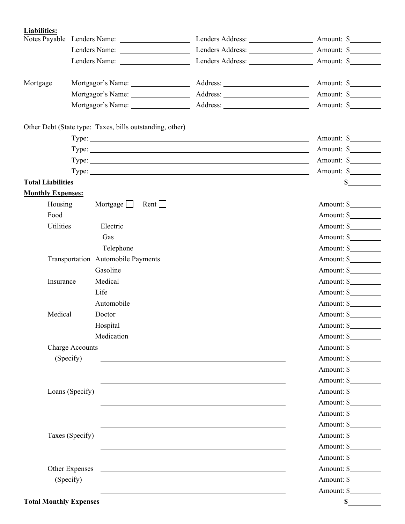**Liabilities:**  Notes Payable Lenders Name: Lenders Address: Lenders Address: Amount: \$ Lenders Name: Lenders Address: Amount: \$ Lenders Name: Lenders Address: Amount: \$ Mortgage Mortgagor's Name: Address: Address: Amount: \$ Mortgagor's Name: Address: Amount: \$ Mortgagor's Name: Address: Address: Amount: \$ Other Debt (State type: Taxes, bills outstanding, other) Type: Amount: \$ Amount: \$ Type: <u>Amount: \$</u> Type: <u>Amount: \$</u> Amount: \$ Amount: \$ Amount: \$ Amount: \$ Amount: \$ Amount: \$ Amount: \$ Amount: \$ Amount: \$ Amount: \$ Amount: \$ Amount: \$ Amount: \$ Amount: \$ Amount: \$ Amount: \$ Amount: \$ Amount: \$ Amount: \$ Amount: \$ Amou Type: <u>Next and the set of the set of the set of the set of the set of the set of the set of the set of the set of the set of the set of the set of the set of the set of the set of the set of the set of the set of the set </u> **Total Liabilities \$ Monthly Expenses:** Housing Mortgage Rent Rent Amount: \$ Food Amount: \$ Utilities Electric Amount: \$ Gas Amount: \$ Telephone Amount: \$ Transportation Automobile Payments Amount: \$ Gasoline Amount: \$ Insurance Medical Amount: \$ Life Amount: \$ Automobile Automobile Amount: \$ Medical Doctor Amount: \$ Hospital Amount: \$ Medication Amount: \$ Charge Accounts Amount: \$ (Specify) Amount: \$ **Amount: \$**  Amount: \$ Loans (Specify) Amount: \$ Amount: \$ Amount: \$ Amount: \$ Taxes (Specify) Amount: \$ Amount: \$ Amount: \$ Other Expenses Amount: \$  $(Specify)$  Amount: \$ Amount: \$